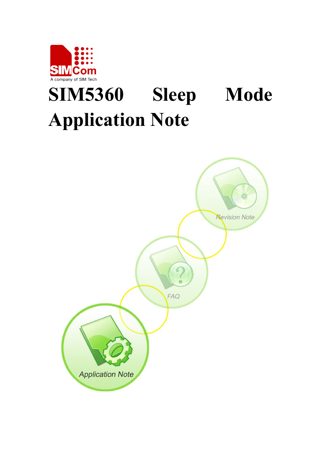

# **SIM5360 Sleep Mode Application Note**

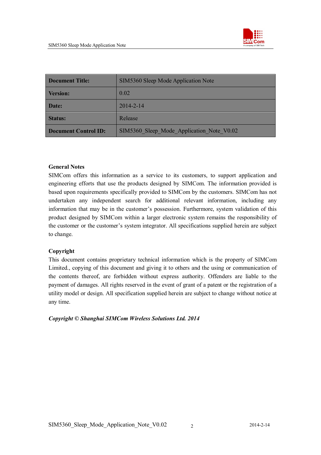

| <b>Document Title:</b>      | SIM5360 Sleep Mode Application Note       |  |
|-----------------------------|-------------------------------------------|--|
| <b>Version:</b>             | 0.02                                      |  |
| Date:                       | $2014 - 2 - 14$                           |  |
| <b>Status:</b>              | Release                                   |  |
| <b>Document Control ID:</b> | SIM5360 Sleep Mode Application Note V0.02 |  |

#### **General Notes**

SIMCom offers this information as a service to its customers, to support application and engineering efforts that use the products designed by SIMCom. The information provided is based upon requirements specifically provided to SIMCom by the customers. SIMCom has not undertaken any independent search for additional relevant information, including any information that may be in the customer's possession. Furthermore, system validation of this product designed by SIMCom within a larger electronic system remains the responsibility of the customer or the customer's system integrator. All specifications supplied herein are subject to change.

#### **Copyright**

This document contains proprietary technical information which is the property of SIMCom Limited., copying of this document and giving it to others and the using or communication of the contents thereof, are forbidden without express authority. Offenders are liable to the payment of damages. All rights reserved in the event of grant of a patent or the registration of a utility model or design. All specification supplied herein are subject to change without notice at any time.

#### *Copyright © Shanghai SIMCom Wireless Solutions Ltd. 2014*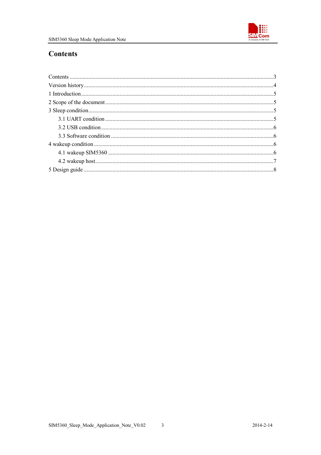

## **Contents**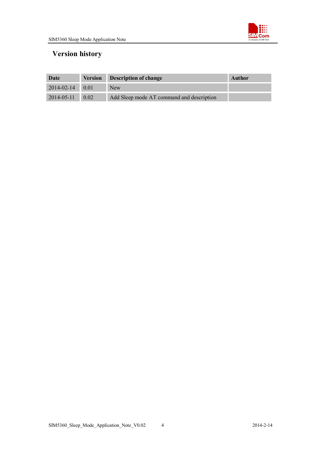

# **Version history**

| Date                  | <b>Version Description of change</b>      | Author |
|-----------------------|-------------------------------------------|--------|
| $2014 - 02 - 14$ 0.01 | <b>New</b>                                |        |
| $2014 - 05 - 11$ 0.02 | Add Sleep mode AT command and description |        |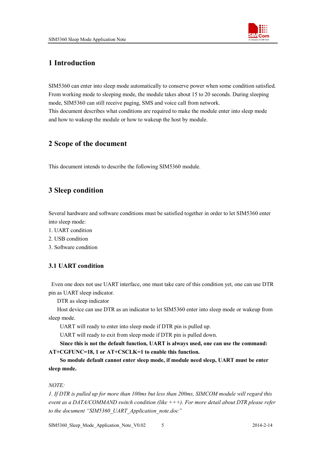

## **1 Introduction**

SIM5360 can enter into sleep mode automatically to conserve power when some condition satisfied. From working mode to sleeping mode, the module takes about 15 to 20 seconds. During sleeping mode, SIM5360 can still receive paging, SMS and voice call from network. This document describes what conditions are required to make the module enter into sleep mode and how to wakeup the module or how to wakeup the host by module.

## **2 Scope of the document**

This document intends to describe the following SIM5360 module.

## **3 Sleep condition**

Several hardware and software conditions must be satisfied together in order to let SIM5360 enter into sleep mode:

- 1. UART condition
- 2. USB condition
- 3. Software condition

#### **3.1 UART condition**

Even one does not use UART interface, one must take care of this condition yet, one can use DTR pin as UART sleep indicator.

DTR as sleep indicator

Host device can use DTR as an indicator to let SIM5360 enter into sleep mode or wakeup from sleep mode.

UART will ready to enter into sleep mode if DTR pin is pulled up.

UART will ready to exit from sleep mode if DTR pin is pulled down.

**Since this is not the default function, UART is always used, one can use the command: AT+CGFUNC=18, 1 or AT+CSCLK=1 to enable this function.**

**So module default cannot enter sleep mode, if module need sleep, UART must be enter sleep mode.**

#### *NOTE:*

*1. If DTR is pulled up for more than 100ms but less than 200ms, SIMCOM module will regard this event as a DATA/COMMAND switch condition (like +++). For more detail about DTR please refer to the document "SIM5360\_UART\_Application\_note.doc"*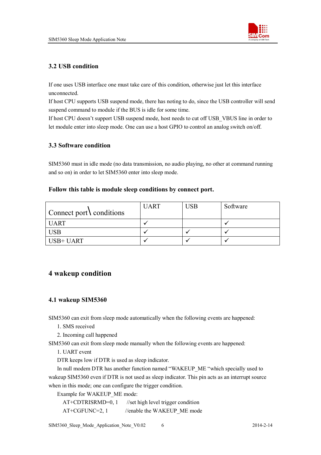

#### **3.2 USB condition**

If one uses USB interface one must take care of this condition, otherwise just let this interface unconnected.

If host CPU supports USB suspend mode, there has noting to do, since the USB controller will send suspend command to module if the BUS is idle for some time.

If host CPU doesn't support USB suspend mode, host needs to cut off USB\_VBUS line in order to let module enter into sleep mode. One can use a host GPIO to control an analog switch on/off.

#### **3.3 Software condition**

SIM5360 must in idle mode (no data transmission, no audio playing, no other at command running and so on) in order to let SIM5360 enter into sleep mode.

#### **Follow this table is module sleep conditions by connect port.**

| $\vert$ Connect port \ conditions | <b>UART</b> | USB | Software |
|-----------------------------------|-------------|-----|----------|
| <b>UART</b>                       |             |     |          |
| <b>USB</b>                        |             |     |          |
| USB+ UART                         |             |     |          |

## **4 wakeup condition**

#### **4.1 wakeup SIM5360**

SIM5360 can exit from sleep mode automatically when the following events are happened:

1. SMS received

2. Incoming call happened

SIM5360 can exit from sleep mode manually when the following events are happened:

1. UART event

DTR keeps low if DTR is used as sleep indicator.

In null modem DTR has another function named "WAKEUP\_ME "which specially used to wakeup SIM5360 even if DTR is not used as sleep indicator. This pin acts as an interrupt source when in this mode; one can configure the trigger condition.

Example for WAKEUP\_ME mode:

| $AT+CDTRISRMD=0, 1$ | //set high level trigger condition |
|---------------------|------------------------------------|
| $AT+CGFUNC=2, 1$    | //enable the WAKEUP ME mode        |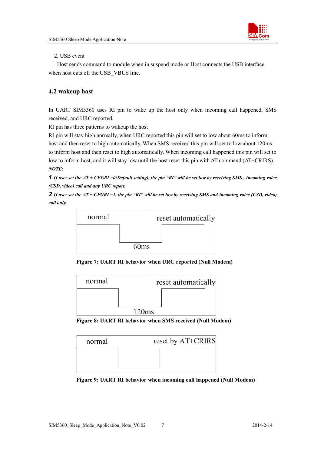

#### 2. USB event

Host sends command to module when in suspend mode or Host connects the USB interface when host cuts off the USB\_VBUS line.

#### **4.2 wakeup host**

In UART SIM5360 uses RI pin to wake up the host only when incoming call happened, SMS received, and URC reported.

RI pin has three patterns to wakeup the host

RI pin will stay high normally, when URC reported this pin will set to low about 60ms to inform host and then reset to high automatically. When SMS received this pin will set to low about 120ms to inform host and then reset to high automatically. When incoming call happened this pin will set to low to inform host, and it will stay low until the host reset this pin with AT command (AT+CRIRS). *NOTE:*

*1 If user set the AT + CFGRI =0(Default setting), the pin "RI" will be set low by receiving SMS , incoming voice (CSD, video) call and any URC report.*

*2 If user set the AT + CFGRI =1, the pin "RI" will be set low by receiving SMS and incoming voice (CSD, video) call only.*



**Figure 7: UART RI behavior when URC reported (Null Modem)**







**Figure 9: UART RI behavior when incoming call happened (Null Modem)**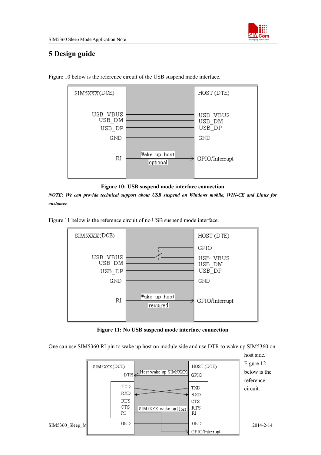

## **5 Design guide**



Figure 10 below is the reference circuit of the USB suspend mode interface.



*NOTE: We can provide technical support about USB suspend on Windows mobile, WIN-CE and Linux for customer.*

Figure 11 below is the reference circuit of no USB suspend mode interface.



**Figure 11: No USB suspend mode interface connection**

One can use SIM5360 RI pin to wake up host on module side and use DTR to wake up SIM5360 on

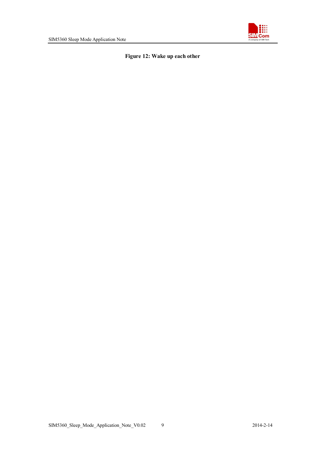

#### **Figure 12: Wake up each other**